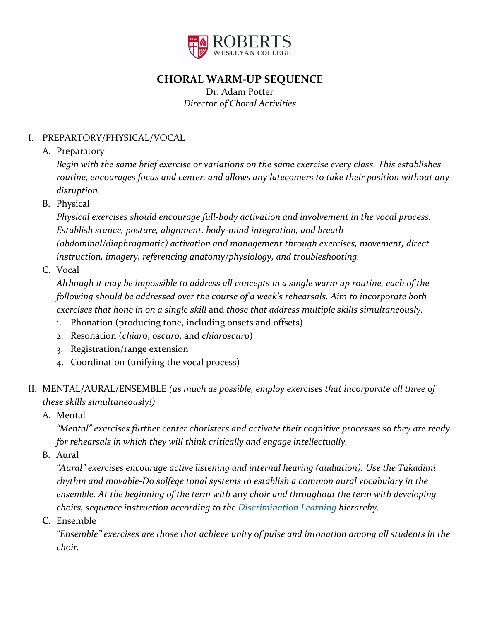

# **CHORAL WARM-UP SEQUENCE**

Dr. Adam Potter *Director of Choral Activities*

## I. PREPARTORY/PHYSICAL/VOCAL

A. Preparatory

*Begin with the same brief exercise or variations on the same exercise every class. This establishes routine, encourages focus and center, and allows any latecomers to take their position without any disruption.*

B. Physical

*Physical exercises should encourage full-body activation and involvement in the vocal process. Establish stance, posture, alignment, body-mind integration, and breath* 

*(abdominal/diaphragmatic) activation and management through exercises, movement, direct instruction, imagery, referencing anatomy/physiology, and troubleshooting.*

C. Vocal

*Although it may be impossible to address all concepts in a single warm up routine, each of the following should be addressed over the course of a week's rehearsals. Aim to incorporate both exercises that hone in on a single skill* and *those that address multiple skills simultaneously.*

- 1. Phonation (producing tone, including onsets and offsets)
- 2. Resonation (*chiaro*, *oscuro*, and *chiaroscuro*)
- 3. Registration/range extension
- 4. Coordination (unifying the vocal process)
- II. MENTAL/AURAL/ENSEMBLE *(as much as possible, employ exercises that incorporate all three of these skills simultaneously!)*
	- A. Mental

*"Mental" exercises further center choristers and activate their cognitive processes so they are ready for rehearsals in which they will think critically and engage intellectually.*

B. Aural

*"Aural" exercises encourage active listening and internal hearing (audiation). Use the Takadimi rhythm and movable-Do solfège tonal systems to establish a common aural vocabulary in the ensemble. At the beginning of the term with* any *choir and throughout the term with developing choirs, sequence instruction according to the [Discrimination Learning](http://giml.org/mlt/lsa-sls/) hierarchy.*

C. Ensemble

*"Ensemble" exercises are those that achieve unity of pulse and intonation among all students in the choir.*